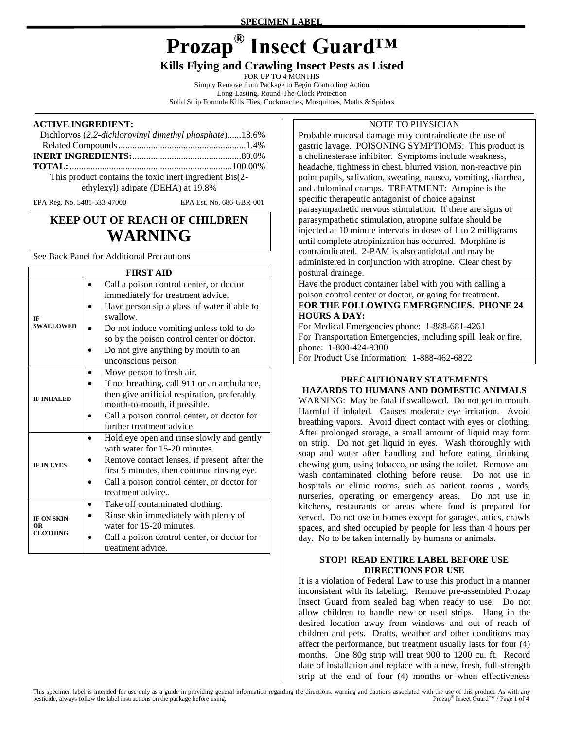**SPECIMEN LABEL**

# **Prozap® Insect Guard™**

# **Kills Flying and Crawling Insect Pests as Listed**

FOR UP TO 4 MONTHS

Simply Remove from Package to Begin Controlling Action Long-Lasting, Round-The-Clock Protection Solid Strip Formula Kills Flies, Cockroaches, Mosquitoes, Moths & Spiders

#### **ACTIVE INGREDIENT:**

| Dichlorvos (2,2-dichlorovinyl dimethyl phosphate)18.6%  |  |
|---------------------------------------------------------|--|
|                                                         |  |
|                                                         |  |
|                                                         |  |
| This product contains the toxic inert ingredient Bis(2- |  |
| ethylexyl) adipate (DEHA) at 19.8%                      |  |

EPA Reg. No. 5481-533-47000 EPA Est. No. 686-GBR-001

# **KEEP OUT OF REACH OF CHILDREN WARNING**

See Back Panel for Additional Precautions

#### **FIDET AID**

|                                                   | ringi aid                                                                    |
|---------------------------------------------------|------------------------------------------------------------------------------|
| IF<br><b>SWALLOWED</b>                            | Call a poison control center, or doctor<br>immediately for treatment advice. |
|                                                   | Have person sip a glass of water if able to<br>swallow.                      |
|                                                   |                                                                              |
|                                                   | Do not induce vomiting unless told to do                                     |
|                                                   | so by the poison control center or doctor.                                   |
|                                                   | Do not give anything by mouth to an                                          |
|                                                   | unconscious person                                                           |
| <b>IF INHALED</b>                                 | Move person to fresh air.                                                    |
|                                                   | If not breathing, call 911 or an ambulance,                                  |
|                                                   | then give artificial respiration, preferably                                 |
|                                                   | mouth-to-mouth, if possible.                                                 |
|                                                   | Call a poison control center, or doctor for                                  |
|                                                   | further treatment advice.                                                    |
|                                                   | Hold eye open and rinse slowly and gently                                    |
|                                                   | with water for 15-20 minutes.                                                |
| <b>IF IN EYES</b>                                 | Remove contact lenses, if present, after the                                 |
|                                                   | first 5 minutes, then continue rinsing eye.                                  |
|                                                   | Call a poison control center, or doctor for                                  |
|                                                   | treatment advice                                                             |
| <b>IF ON SKIN</b><br><b>OR</b><br><b>CLOTHING</b> | Take off contaminated clothing.                                              |
|                                                   | Rinse skin immediately with plenty of                                        |
|                                                   | water for 15-20 minutes.                                                     |
|                                                   | Call a poison control center, or doctor for                                  |
|                                                   | treatment advice.                                                            |

Probable mucosal damage may contraindicate the use of gastric lavage. POISONING SYMPTIOMS: This product is a cholinesterase inhibitor. Symptoms include weakness, headache, tightness in chest, blurred vision, non-reactive pin point pupils, salivation, sweating, nausea, vomiting, diarrhea, and abdominal cramps. TREATMENT: Atropine is the specific therapeutic antagonist of choice against parasympathetic nervous stimulation. If there are signs of parasympathetic stimulation, atropine sulfate should be injected at 10 minute intervals in doses of 1 to 2 milligrams until complete atropinization has occurred. Morphine is contraindicated. 2-PAM is also antidotal and may be administered in conjunction with atropine. Clear chest by postural drainage.

Have the product container label with you with calling a poison control center or doctor, or going for treatment. **FOR THE FOLLOWING EMERGENCIES. PHONE 24 HOURS A DAY:**

For Medical Emergencies phone: 1-888-681-4261 For Transportation Emergencies, including spill, leak or fire, phone: 1-800-424-9300 For Product Use Information: 1-888-462-6822

#### **PRECAUTIONARY STATEMENTS HAZARDS TO HUMANS AND DOMESTIC ANIMALS**

WARNING: May be fatal if swallowed. Do not get in mouth. Harmful if inhaled. Causes moderate eye irritation. Avoid breathing vapors. Avoid direct contact with eyes or clothing. After prolonged storage, a small amount of liquid may form on strip. Do not get liquid in eyes. Wash thoroughly with soap and water after handling and before eating, drinking, chewing gum, using tobacco, or using the toilet. Remove and wash contaminated clothing before reuse. Do not use in hospitals or clinic rooms, such as patient rooms , wards, nurseries, operating or emergency areas. Do not use in kitchens, restaurants or areas where food is prepared for served. Do not use in homes except for garages, attics, crawls spaces, and shed occupied by people for less than 4 hours per day. No to be taken internally by humans or animals.

#### **STOP! READ ENTIRE LABEL BEFORE USE DIRECTIONS FOR USE**

It is a violation of Federal Law to use this product in a manner inconsistent with its labeling. Remove pre-assembled Prozap Insect Guard from sealed bag when ready to use. Do not allow children to handle new or used strips. Hang in the desired location away from windows and out of reach of children and pets. Drafts, weather and other conditions may affect the performance, but treatment usually lasts for four (4) months. One 80g strip will treat 900 to 1200 cu. ft. Record date of installation and replace with a new, fresh, full-strength strip at the end of four (4) months or when effectiveness

## NOTE TO PHYSICIAN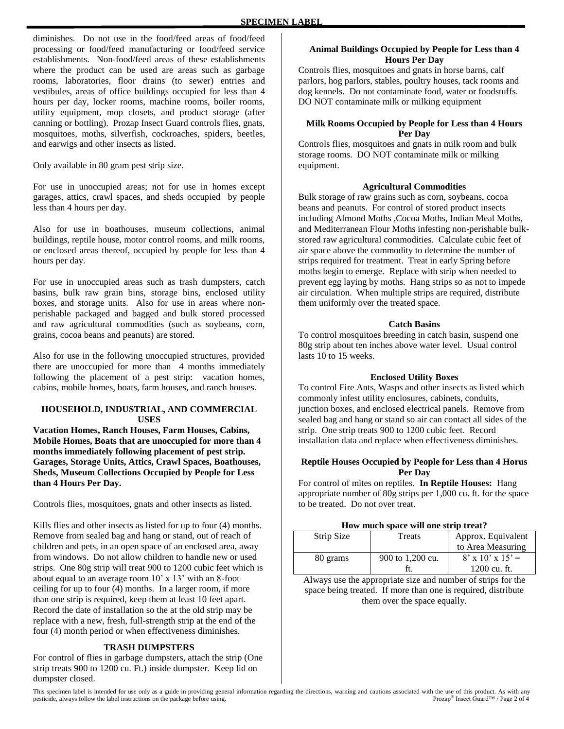diminishes. Do not use in the food/feed areas of food/feed processing or food/feed manufacturing or food/feed service establishments. Non-food/feed areas of these establishments where the product can be used are areas such as garbage rooms, laboratories, floor drains (to sewer) entries and vestibules, areas of office buildings occupied for less than 4 hours per day, locker rooms, machine rooms, boiler rooms, utility equipment, mop closets, and product storage (after canning or bottling). Prozap Insect Guard controls flies, gnats, mosquitoes, moths, silverfish, cockroaches, spiders, beetles, and earwigs and other insects as listed.

Only available in 80 gram pest strip size.

For use in unoccupied areas; not for use in homes except garages, attics, crawl spaces, and sheds occupied by people less than 4 hours per day.

Also for use in boathouses, museum collections, animal buildings, reptile house, motor control rooms, and milk rooms, or enclosed areas thereof, occupied by people for less than 4 hours per day.

For use in unoccupied areas such as trash dumpsters, catch basins, bulk raw grain bins, storage bins, enclosed utility boxes, and storage units. Also for use in areas where nonperishable packaged and bagged and bulk stored processed and raw agricultural commodities (such as soybeans, corn, grains, cocoa beans and peanuts) are stored.

Also for use in the following unoccupied structures, provided there are unoccupied for more than 4 months immediately following the placement of a pest strip: vacation homes, cabins, mobile homes, boats, farm houses, and ranch houses.

#### **HOUSEHOLD, INDUSTRIAL, AND COMMERCIAL USES**

**Vacation Homes, Ranch Houses, Farm Houses, Cabins, Mobile Homes, Boats that are unoccupied for more than 4 months immediately following placement of pest strip. Garages, Storage Units, Attics, Crawl Spaces, Boathouses, Sheds, Museum Collections Occupied by People for Less than 4 Hours Per Day.**

Controls flies, mosquitoes, gnats and other insects as listed.

Kills flies and other insects as listed for up to four (4) months. Remove from sealed bag and hang or stand, out of reach of children and pets, in an open space of an enclosed area, away from windows. Do not allow children to handle new or used strips. One 80g strip will treat 900 to 1200 cubic feet which is about equal to an average room 10' x 13' with an 8-foot ceiling for up to four (4) months. In a larger room, if more than one strip is required, keep them at least 10 feet apart. Record the date of installation so the at the old strip may be replace with a new, fresh, full-strength strip at the end of the four (4) month period or when effectiveness diminishes.

#### **TRASH DUMPSTERS**

For control of flies in garbage dumpsters, attach the strip (One strip treats 900 to 1200 cu. Ft.) inside dumpster. Keep lid on dumpster closed.

#### **Animal Buildings Occupied by People for Less than 4 Hours Per Day**

Controls flies, mosquitoes and gnats in horse barns, calf parlors, hog parlors, stables, poultry houses, tack rooms and dog kennels. Do not contaminate food, water or foodstuffs. DO NOT contaminate milk or milking equipment

#### **Milk Rooms Occupied by People for Less than 4 Hours Per Day**

Controls flies, mosquitoes and gnats in milk room and bulk storage rooms. DO NOT contaminate milk or milking equipment.

#### **Agricultural Commodities**

Bulk storage of raw grains such as corn, soybeans, cocoa beans and peanuts. For control of stored product insects including Almond Moths , Cocoa Moths, Indian Meal Moths, and Mediterranean Flour Moths infesting non-perishable bulkstored raw agricultural commodities. Calculate cubic feet of air space above the commodity to determine the number of strips required for treatment. Treat in early Spring before moths begin to emerge. Replace with strip when needed to prevent egg laying by moths. Hang strips so as not to impede air circulation. When multiple strips are required, distribute them uniformly over the treated space.

#### **Catch Basins**

To control mosquitoes breeding in catch basin, suspend one 80g strip about ten inches above water level. Usual control lasts 10 to 15 weeks.

## **Enclosed Utility Boxes**

To control Fire Ants, Wasps and other insects as listed which commonly infest utility enclosures, cabinets, conduits, junction boxes, and enclosed electrical panels. Remove from sealed bag and hang or stand so air can contact all sides of the strip. One strip treats 900 to 1200 cubic feet. Record installation data and replace when effectiveness diminishes.

#### **Reptile Houses Occupied by People for Less than 4 Horus Per Day**

For control of mites on reptiles. **In Reptile Houses:** Hang appropriate number of 80g strips per 1,000 cu. ft. for the space to be treated. Do not over treat.

|  |  |  |  |  |  | How much space will one strip treat? |
|--|--|--|--|--|--|--------------------------------------|
|--|--|--|--|--|--|--------------------------------------|

| Strip Size | Treats           | Approx. Equivalent           |  |  |
|------------|------------------|------------------------------|--|--|
|            |                  | to Area Measuring            |  |  |
| 80 grams   | 900 to 1,200 cu. | $8' \times 10' \times 15' =$ |  |  |
|            |                  | 1200 cu. ft.                 |  |  |

Always use the appropriate size and number of strips for the space being treated. If more than one is required, distribute them over the space equally.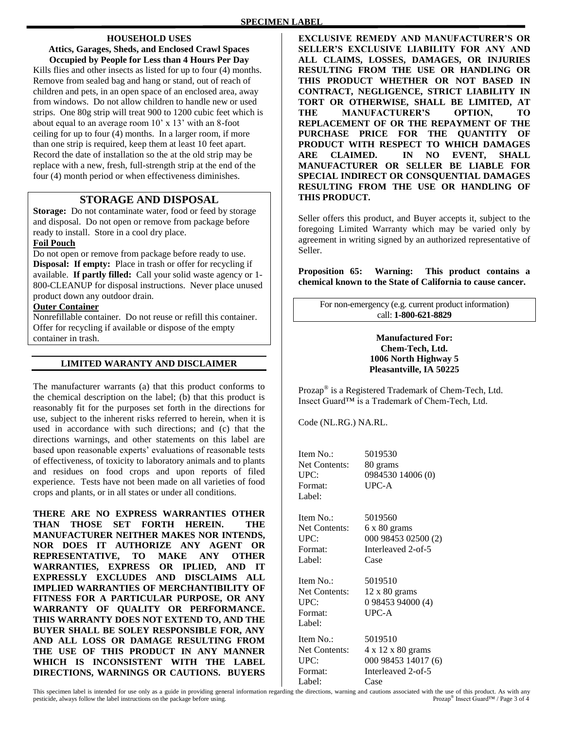### **HOUSEHOLD USES**

**Attics, Garages, Sheds, and Enclosed Crawl Spaces Occupied by People for Less than 4 Hours Per Day**  Kills flies and other insects as listed for up to four (4) months. Remove from sealed bag and hang or stand, out of reach of children and pets, in an open space of an enclosed area, away from windows. Do not allow children to handle new or used strips. One 80g strip will treat 900 to 1200 cubic feet which is about equal to an average room 10' x 13' with an 8-foot ceiling for up to four (4) months. In a larger room, if more than one strip is required, keep them at least 10 feet apart. Record the date of installation so the at the old strip may be replace with a new, fresh, full-strength strip at the end of the four (4) month period or when effectiveness diminishes.

# **STORAGE AND DISPOSAL**

**Storage:** Do not contaminate water, food or feed by storage and disposal. Do not open or remove from package before ready to install. Store in a cool dry place.

# **Foil Pouch**

Do not open or remove from package before ready to use. **Disposal: If empty:** Place in trash or offer for recycling if available. **If partly filled:** Call your solid waste agency or 1- 800-CLEANUP for disposal instructions. Never place unused product down any outdoor drain.

#### **Outer Container**

Nonrefillable container. Do not reuse or refill this container. Offer for recycling if available or dispose of the empty container in trash.

# **LIMITED WARANTY AND DISCLAIMER**

The manufacturer warrants (a) that this product conforms to the chemical description on the label; (b) that this product is reasonably fit for the purposes set forth in the directions for use, subject to the inherent risks referred to herein, when it is used in accordance with such directions; and (c) that the directions warnings, and other statements on this label are based upon reasonable experts' evaluations of reasonable tests of effectiveness, of toxicity to laboratory animals and to plants and residues on food crops and upon reports of filed experience. Tests have not been made on all varieties of food crops and plants, or in all states or under all conditions.

**THERE ARE NO EXPRESS WARRANTIES OTHER THAN THOSE SET FORTH HEREIN. THE MANUFACTURER NEITHER MAKES NOR INTENDS, NOR DOES IT AUTHORIZE ANY AGENT OR REPRESENTATIVE, TO MAKE ANY OTHER WARRANTIES, EXPRESS OR IPLIED, AND IT EXPRESSLY EXCLUDES AND DISCLAIMS ALL IMPLIED WARRANTIES OF MERCHANTIBILITY OF FITNESS FOR A PARTICULAR PURPOSE, OR ANY WARRANTY OF QUALITY OR PERFORMANCE. THIS WARRANTY DOES NOT EXTEND TO, AND THE BUYER SHALL BE SOLEY RESPONSIBLE FOR, ANY AND ALL LOSS OR DAMAGE RESULTING FROM THE USE OF THIS PRODUCT IN ANY MANNER WHICH IS INCONSISTENT WITH THE LABEL DIRECTIONS, WARNINGS OR CAUTIONS. BUYERS** 

**EXCLUSIVE REMEDY AND MANUFACTURER'S OR SELLER'S EXCLUSIVE LIABILITY FOR ANY AND ALL CLAIMS, LOSSES, DAMAGES, OR INJURIES RESULTING FROM THE USE OR HANDLING OR THIS PRODUCT WHETHER OR NOT BASED IN CONTRACT, NEGLIGENCE, STRICT LIABILITY IN TORT OR OTHERWISE, SHALL BE LIMITED, AT THE MANUFACTURER'S OPTION, TO REPLACEMENT OF OR THE REPAYMENT OF THE PURCHASE PRICE FOR THE QUANTITY OF PRODUCT WITH RESPECT TO WHICH DAMAGES ARE CLAIMED. IN NO EVENT, SHALL MANUFACTURER OR SELLER BE LIABLE FOR SPECIAL INDIRECT OR CONSQUENTIAL DAMAGES RESULTING FROM THE USE OR HANDLING OF THIS PRODUCT.**

Seller offers this product, and Buyer accepts it, subject to the foregoing Limited Warranty which may be varied only by agreement in writing signed by an authorized representative of Seller.

**Proposition 65: Warning: This product contains a chemical known to the State of California to cause cancer.**

For non-emergency (e.g. current product information) call: **1-800-621-8829**

#### **Manufactured For: Chem-Tech, Ltd. 1006 North Highway 5 Pleasantville, IA 50225**

Prozap® is a Registered Trademark of Chem-Tech, Ltd. Insect Guard™ is a Trademark of Chem-Tech, Ltd.

Code (NL.RG.) NA.RL.

| Item No.:            | 5019530                                                  |
|----------------------|----------------------------------------------------------|
| <b>Net Contents:</b> | 80 grams                                                 |
| UPC:                 | 0984530 14006 (0)                                        |
| Format:              | UPC-A                                                    |
| Label:               |                                                          |
| Item No.:            | 5019560                                                  |
| Net Contents:        |                                                          |
| UPC:                 | $6 \times 80$ grams<br>000 98453 02500 (2)               |
| Format:              | Interleaved 2-of-5                                       |
| Label:               | Case                                                     |
|                      |                                                          |
| Item No.:            | 5019510                                                  |
| <b>Net Contents:</b> | $12 \times 80$ grams                                     |
| UPC:                 | 0 98453 94000 (4)                                        |
| Format:              | UPC-A                                                    |
| Label:               |                                                          |
| Item No.:            | 5019510                                                  |
| <b>Net Contents:</b> | 4 x 12 x 80 grams                                        |
| UPC:                 | 000 98453 14017 (6)                                      |
| Format:              | Interleaved 2-of-5                                       |
| Label:               | Case                                                     |
|                      | the directions wereing and contiguous essecuted with the |